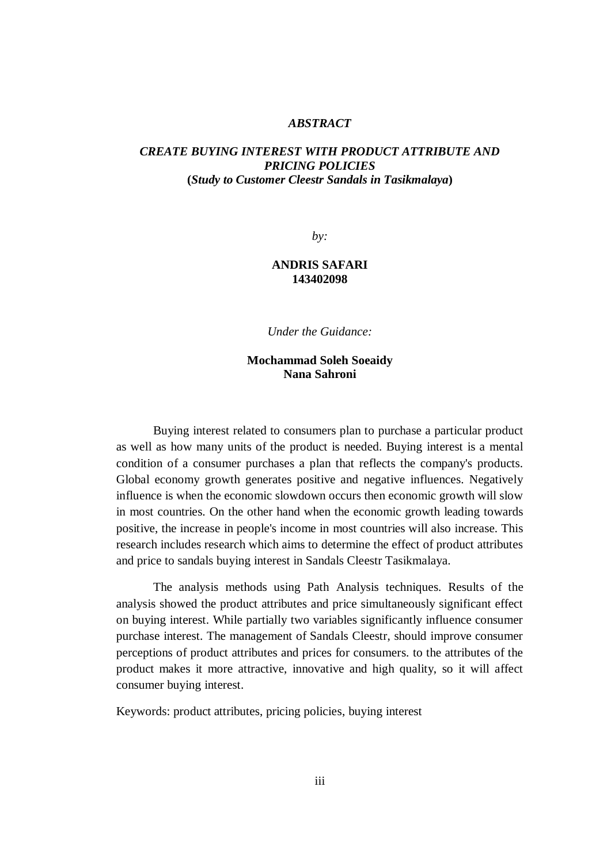# *ABSTRACT*

# *CREATE BUYING INTEREST WITH PRODUCT ATTRIBUTE AND PRICING POLICIES* **(***Study to Customer Cleestr Sandals in Tasikmalaya***)**

*by:*

# **ANDRIS SAFARI 143402098**

*Under the Guidance:*

## **Mochammad Soleh Soeaidy Nana Sahroni**

Buying interest related to consumers plan to purchase a particular product as well as how many units of the product is needed. Buying interest is a mental condition of a consumer purchases a plan that reflects the company's products. Global economy growth generates positive and negative influences. Negatively influence is when the economic slowdown occurs then economic growth will slow in most countries. On the other hand when the economic growth leading towards positive, the increase in people's income in most countries will also increase. This research includes research which aims to determine the effect of product attributes and price to sandals buying interest in Sandals Cleestr Tasikmalaya.

The analysis methods using Path Analysis techniques. Results of the analysis showed the product attributes and price simultaneously significant effect on buying interest. While partially two variables significantly influence consumer purchase interest. The management of Sandals Cleestr, should improve consumer perceptions of product attributes and prices for consumers. to the attributes of the product makes it more attractive, innovative and high quality, so it will affect consumer buying interest.

Keywords: product attributes, pricing policies, buying interest